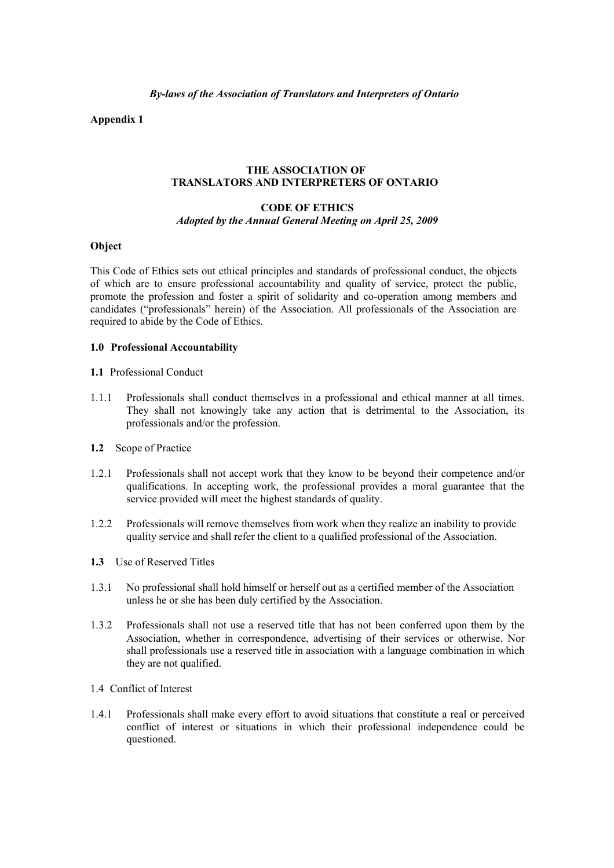**Appendix 1**

## **THE ASSOCIATION OF TRANSLATORS AND INTERPRETERS OF ONTARIO**

#### **CODE OF ETHICS** *Adopted by the Annual General Meeting on April 25, 2009*

#### **Object**

This Code of Ethics sets out ethical principles and standards of professional conduct, the objects of which are to ensure professional accountability and quality of service, protect the public, promote the profession and foster a spirit of solidarity and co-operation among members and candidates ("professionals" herein) of the Association. All professionals of the Association are required to abide by the Code of Ethics.

#### **1.0 Professional Accountability**

- **1.1** Professional Conduct
- 1.1.1 Professionals shall conduct themselves in a professional and ethical manner at all times. They shall not knowingly take any action that is detrimental to the Association, its professionals and/or the profession.
- **1.2** Scope of Practice
- 1.2.1 Professionals shall not accept work that they know to be beyond their competence and/or qualifications. In accepting work, the professional provides a moral guarantee that the service provided will meet the highest standards of quality.
- 1.2.2 Professionals will remove themselves from work when they realize an inability to provide quality service and shall refer the client to a qualified professional of the Association.
- **1.3** Use of Reserved Titles
- 1.3.1 No professional shall hold himself or herself out as a certified member of the Association unless he or she has been duly certified by the Association.
- 1.3.2 Professionals shall not use a reserved title that has not been conferred upon them by the Association, whether in correspondence, advertising of their services or otherwise. Nor shall professionals use a reserved title in association with a language combination in which they are not qualified.
- 1.4 Conflict of Interest
- 1.4.1 Professionals shall make every effort to avoid situations that constitute a real or perceived conflict of interest or situations in which their professional independence could be questioned.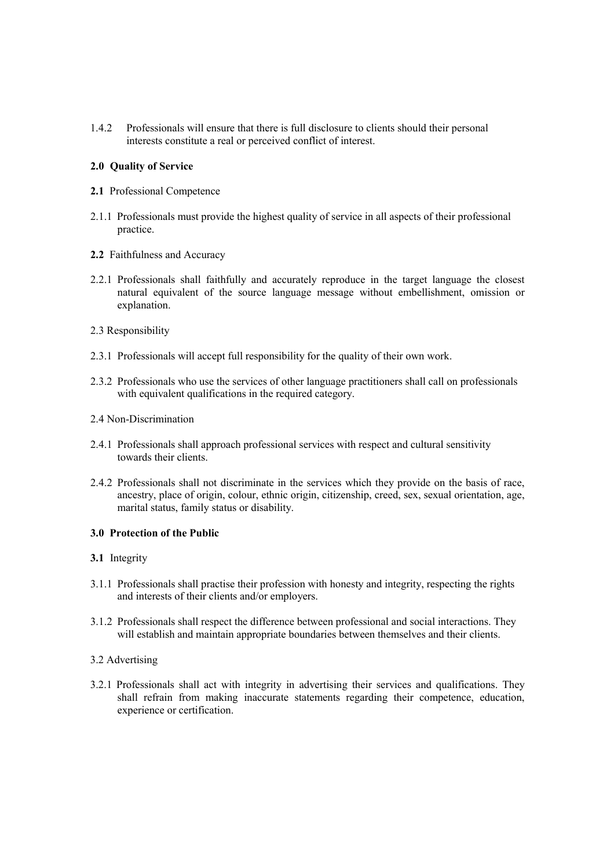1.4.2 Professionals will ensure that there is full disclosure to clients should their personal interests constitute a real or perceived conflict of interest.

## **2.0 Quality of Service**

- **2.1** Professional Competence
- 2.1.1 Professionals must provide the highest quality of service in all aspects of their professional practice.
- **2.2** Faithfulness and Accuracy
- 2.2.1 Professionals shall faithfully and accurately reproduce in the target language the closest natural equivalent of the source language message without embellishment, omission or explanation.
- 2.3 Responsibility
- 2.3.1 Professionals will accept full responsibility for the quality of their own work.
- 2.3.2 Professionals who use the services of other language practitioners shall call on professionals with equivalent qualifications in the required category.
- 2.4 Non-Discrimination
- 2.4.1 Professionals shall approach professional services with respect and cultural sensitivity towards their clients.
- 2.4.2 Professionals shall not discriminate in the services which they provide on the basis of race, ancestry, place of origin, colour, ethnic origin, citizenship, creed, sex, sexual orientation, age, marital status, family status or disability.

## **3.0 Protection of the Public**

- **3.1** Integrity
- 3.1.1 Professionals shall practise their profession with honesty and integrity, respecting the rights and interests of their clients and/or employers.
- 3.1.2 Professionals shall respect the difference between professional and social interactions. They will establish and maintain appropriate boundaries between themselves and their clients.

#### 3.2 Advertising

3.2.1 Professionals shall act with integrity in advertising their services and qualifications. They shall refrain from making inaccurate statements regarding their competence, education, experience or certification.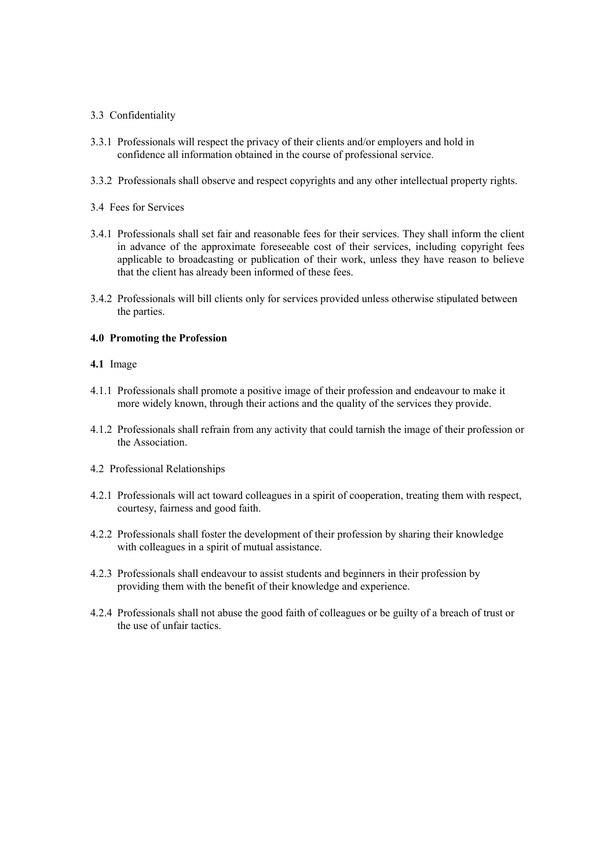#### 3.3 Confidentiality

- 3.3.1 Professionals will respect the privacy of their clients and/or employers and hold in confidence all information obtained in the course of professional service.
- 3.3.2 Professionals shall observe and respect copyrights and any other intellectual property rights.
- 3.4 Fees for Services
- 3.4.1 Professionals shall set fair and reasonable fees for their services. They shall inform the client in advance of the approximate foreseeable cost of their services, including copyright fees applicable to broadcasting or publication of their work, unless they have reason to believe that the client has already been informed of these fees.
- 3.4.2 Professionals will bill clients only for services provided unless otherwise stipulated between the parties.

## **4.0 Promoting the Profession**

- **4.1** Image
- 4.1.1 Professionals shall promote a positive image of their profession and endeavour to make it more widely known, through their actions and the quality of the services they provide.
- 4.1.2 Professionals shall refrain from any activity that could tarnish the image of their profession or the Association.
- 4.2 Professional Relationships
- 4.2.1 Professionals will act toward colleagues in a spirit of cooperation, treating them with respect, courtesy, fairness and good faith.
- 4.2.2 Professionals shall foster the development of their profession by sharing their knowledge with colleagues in a spirit of mutual assistance.
- 4.2.3 Professionals shall endeavour to assist students and beginners in their profession by providing them with the benefit of their knowledge and experience.
- 4.2.4 Professionals shall not abuse the good faith of colleagues or be guilty of a breach of trust or the use of unfair tactics.